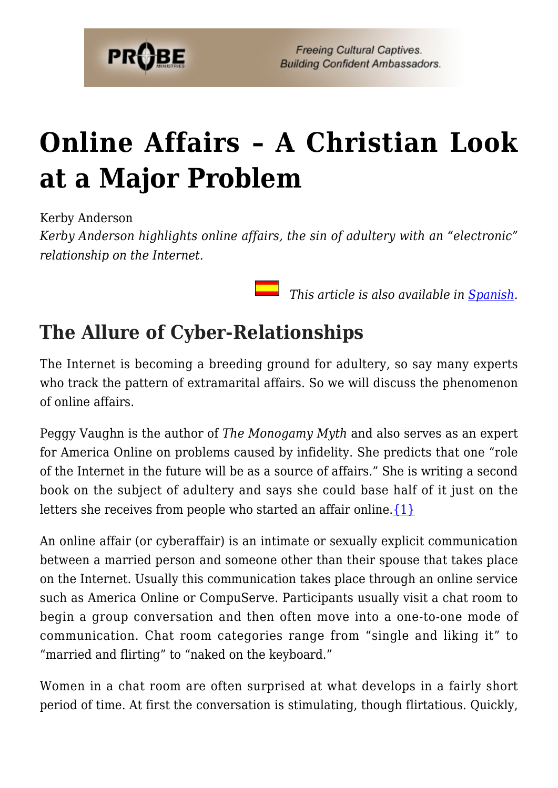

# **[Online Affairs – A Christian Look](https://probe.org/online-affairs/) [at a Major Problem](https://probe.org/online-affairs/)**

Kerby Anderson

*Kerby Anderson highlights online affairs, the sin of adultery with an "electronic" relationship on the Internet.*

 *This article is also available in [Spanish.](https://www.ministeriosprobe.org/docs/conv-musulman.html)*

## **The Allure of Cyber-Relationships**

The Internet is becoming a breeding ground for adultery, so say many experts who track the pattern of extramarital affairs. So we will discuss the phenomenon of online affairs.

Peggy Vaughn is the author of *The Monogamy Myth* and also serves as an expert for America Online on problems caused by infidelity. She predicts that one "role of the Internet in the future will be as a source of affairs." She is writing a second book on the subject of adultery and says she could base half of it just on the letters she receives from people who started an affair online. $\{1\}$ 

An online affair (or cyberaffair) is an intimate or sexually explicit communication between a married person and someone other than their spouse that takes place on the Internet. Usually this communication takes place through an online service such as America Online or CompuServe. Participants usually visit a chat room to begin a group conversation and then often move into a one-to-one mode of communication. Chat room categories range from "single and liking it" to "married and flirting" to "naked on the keyboard."

Women in a chat room are often surprised at what develops in a fairly short period of time. At first the conversation is stimulating, though flirtatious. Quickly,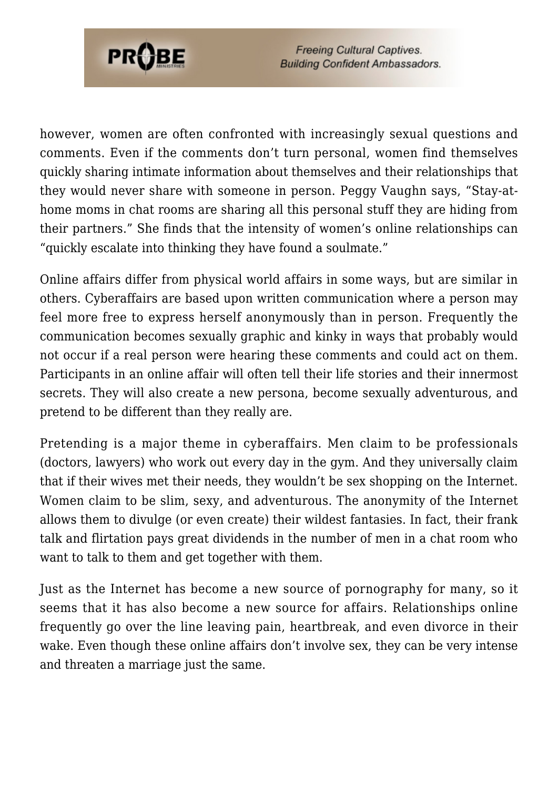

**Freeing Cultural Captives. Building Confident Ambassadors.** 

however, women are often confronted with increasingly sexual questions and comments. Even if the comments don't turn personal, women find themselves quickly sharing intimate information about themselves and their relationships that they would never share with someone in person. Peggy Vaughn says, "Stay-athome moms in chat rooms are sharing all this personal stuff they are hiding from their partners." She finds that the intensity of women's online relationships can "quickly escalate into thinking they have found a soulmate."

Online affairs differ from physical world affairs in some ways, but are similar in others. Cyberaffairs are based upon written communication where a person may feel more free to express herself anonymously than in person. Frequently the communication becomes sexually graphic and kinky in ways that probably would not occur if a real person were hearing these comments and could act on them. Participants in an online affair will often tell their life stories and their innermost secrets. They will also create a new persona, become sexually adventurous, and pretend to be different than they really are.

Pretending is a major theme in cyberaffairs. Men claim to be professionals (doctors, lawyers) who work out every day in the gym. And they universally claim that if their wives met their needs, they wouldn't be sex shopping on the Internet. Women claim to be slim, sexy, and adventurous. The anonymity of the Internet allows them to divulge (or even create) their wildest fantasies. In fact, their frank talk and flirtation pays great dividends in the number of men in a chat room who want to talk to them and get together with them.

Just as the Internet has become a new source of pornography for many, so it seems that it has also become a new source for affairs. Relationships online frequently go over the line leaving pain, heartbreak, and even divorce in their wake. Even though these online affairs don't involve sex, they can be very intense and threaten a marriage just the same.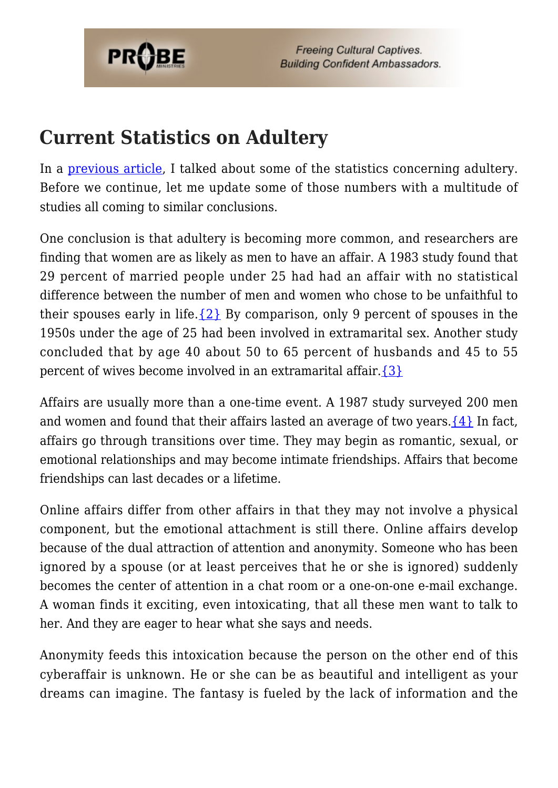

### **Current Statistics on Adultery**

In a [previous article](https://www.probe.org/adultery/), I talked about some of the statistics concerning adultery. Before we continue, let me update some of those numbers with a multitude of studies all coming to similar conclusions.

One conclusion is that adultery is becoming more common, and researchers are finding that women are as likely as men to have an affair. A 1983 study found that 29 percent of married people under 25 had had an affair with no statistical difference between the number of men and women who chose to be unfaithful to their spouses early in life. $\{2\}$  By comparison, only 9 percent of spouses in the 1950s under the age of 25 had been involved in extramarital sex. Another study concluded that by age 40 about 50 to 65 percent of husbands and 45 to 55 percent of wives become involved in an extramarital affair.[{3}](#page-8-1)

Affairs are usually more than a one-time event. A 1987 study surveyed 200 men and women and found that their affairs lasted an average of two years.  $\{4\}$  In fact, affairs go through transitions over time. They may begin as romantic, sexual, or emotional relationships and may become intimate friendships. Affairs that become friendships can last decades or a lifetime.

Online affairs differ from other affairs in that they may not involve a physical component, but the emotional attachment is still there. Online affairs develop because of the dual attraction of attention and anonymity. Someone who has been ignored by a spouse (or at least perceives that he or she is ignored) suddenly becomes the center of attention in a chat room or a one-on-one e-mail exchange. A woman finds it exciting, even intoxicating, that all these men want to talk to her. And they are eager to hear what she says and needs.

Anonymity feeds this intoxication because the person on the other end of this cyberaffair is unknown. He or she can be as beautiful and intelligent as your dreams can imagine. The fantasy is fueled by the lack of information and the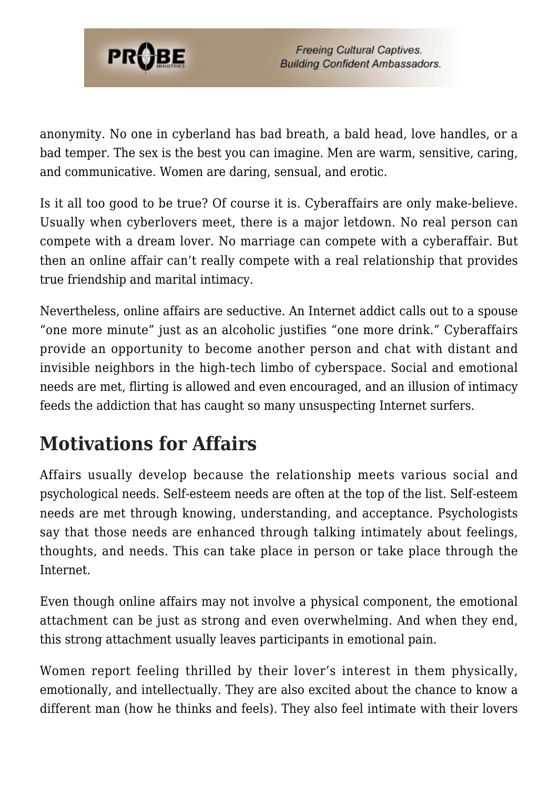

anonymity. No one in cyberland has bad breath, a bald head, love handles, or a bad temper. The sex is the best you can imagine. Men are warm, sensitive, caring, and communicative. Women are daring, sensual, and erotic.

Is it all too good to be true? Of course it is. Cyberaffairs are only make-believe. Usually when cyberlovers meet, there is a major letdown. No real person can compete with a dream lover. No marriage can compete with a cyberaffair. But then an online affair can't really compete with a real relationship that provides true friendship and marital intimacy.

Nevertheless, online affairs are seductive. An Internet addict calls out to a spouse "one more minute" just as an alcoholic justifies "one more drink." Cyberaffairs provide an opportunity to become another person and chat with distant and invisible neighbors in the high-tech limbo of cyberspace. Social and emotional needs are met, flirting is allowed and even encouraged, and an illusion of intimacy feeds the addiction that has caught so many unsuspecting Internet surfers.

# **Motivations for Affairs**

Affairs usually develop because the relationship meets various social and psychological needs. Self-esteem needs are often at the top of the list. Self-esteem needs are met through knowing, understanding, and acceptance. Psychologists say that those needs are enhanced through talking intimately about feelings, thoughts, and needs. This can take place in person or take place through the Internet.

Even though online affairs may not involve a physical component, the emotional attachment can be just as strong and even overwhelming. And when they end, this strong attachment usually leaves participants in emotional pain.

Women report feeling thrilled by their lover's interest in them physically, emotionally, and intellectually. They are also excited about the chance to know a different man (how he thinks and feels). They also feel intimate with their lovers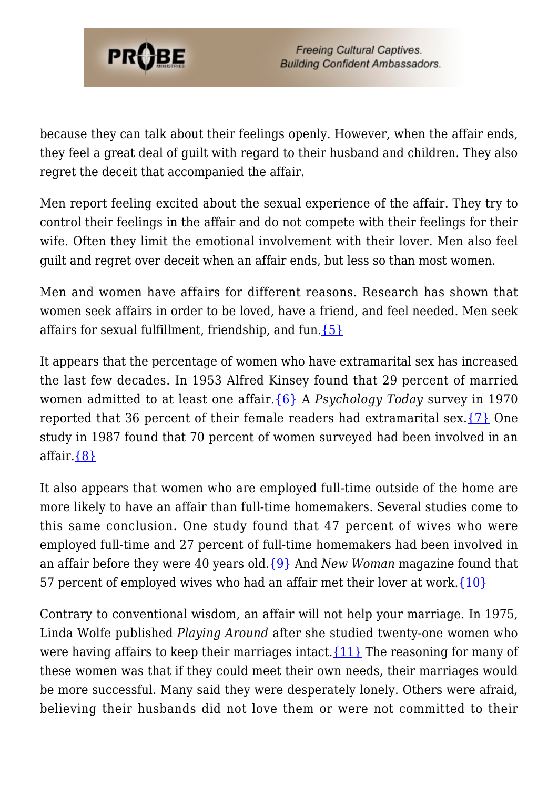

because they can talk about their feelings openly. However, when the affair ends, they feel a great deal of guilt with regard to their husband and children. They also regret the deceit that accompanied the affair.

Men report feeling excited about the sexual experience of the affair. They try to control their feelings in the affair and do not compete with their feelings for their wife. Often they limit the emotional involvement with their lover. Men also feel guilt and regret over deceit when an affair ends, but less so than most women.

Men and women have affairs for different reasons. Research has shown that women seek affairs in order to be loved, have a friend, and feel needed. Men seek affairs for sexual fulfillment, friendship, and fun.  $\{5\}$ 

It appears that the percentage of women who have extramarital sex has increased the last few decades. In 1953 Alfred Kinsey found that 29 percent of married women admitted to at least one affair.[{6}](#page-8-2) A *Psychology Today* survey in 1970 reported that 36 percent of their female readers had extramarital sex.[{7}](#page-8-3) One study in 1987 found that 70 percent of women surveyed had been involved in an affair.[{8}](#page-8-4)

It also appears that women who are employed full-time outside of the home are more likely to have an affair than full-time homemakers. Several studies come to this same conclusion. One study found that 47 percent of wives who were employed full-time and 27 percent of full-time homemakers had been involved in an affair before they were 40 years old[.{9}](#page--1-0) And *New Woman* magazine found that 57 percent of employed wives who had an affair met their lover at work. ${10}$ 

Contrary to conventional wisdom, an affair will not help your marriage. In 1975, Linda Wolfe published *Playing Around* after she studied twenty-one women who were having affairs to keep their marriages intact.  $\{11\}$  The reasoning for many of these women was that if they could meet their own needs, their marriages would be more successful. Many said they were desperately lonely. Others were afraid, believing their husbands did not love them or were not committed to their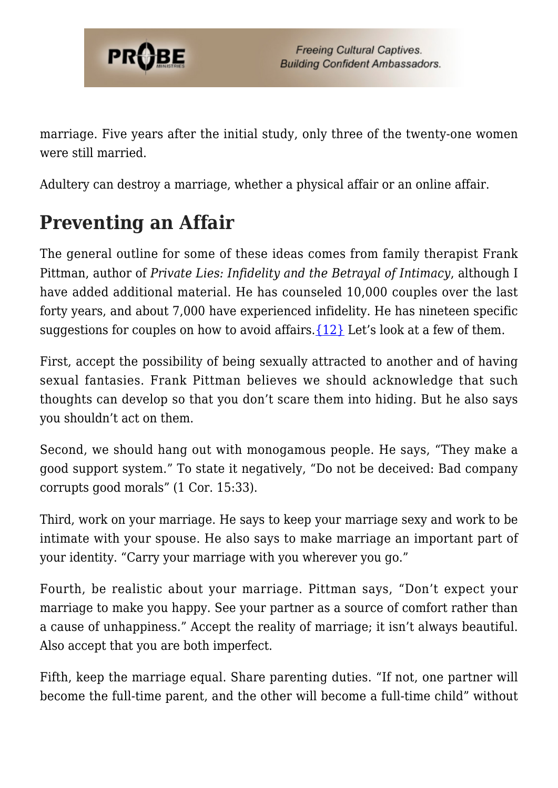

marriage. Five years after the initial study, only three of the twenty-one women were still married.

Adultery can destroy a marriage, whether a physical affair or an online affair.

# **Preventing an Affair**

The general outline for some of these ideas comes from family therapist Frank Pittman, author of *Private Lies: Infidelity and the Betrayal of Intimacy*, although I have added additional material. He has counseled 10,000 couples over the last forty years, and about 7,000 have experienced infidelity. He has nineteen specific suggestions for couples on how to avoid affairs.  $\{12\}$  Let's look at a few of them.

First, accept the possibility of being sexually attracted to another and of having sexual fantasies. Frank Pittman believes we should acknowledge that such thoughts can develop so that you don't scare them into hiding. But he also says you shouldn't act on them.

Second, we should hang out with monogamous people. He says, "They make a good support system." To state it negatively, "Do not be deceived: Bad company corrupts good morals" (1 Cor. 15:33).

Third, work on your marriage. He says to keep your marriage sexy and work to be intimate with your spouse. He also says to make marriage an important part of your identity. "Carry your marriage with you wherever you go."

Fourth, be realistic about your marriage. Pittman says, "Don't expect your marriage to make you happy. See your partner as a source of comfort rather than a cause of unhappiness." Accept the reality of marriage; it isn't always beautiful. Also accept that you are both imperfect.

Fifth, keep the marriage equal. Share parenting duties. "If not, one partner will become the full-time parent, and the other will become a full-time child" without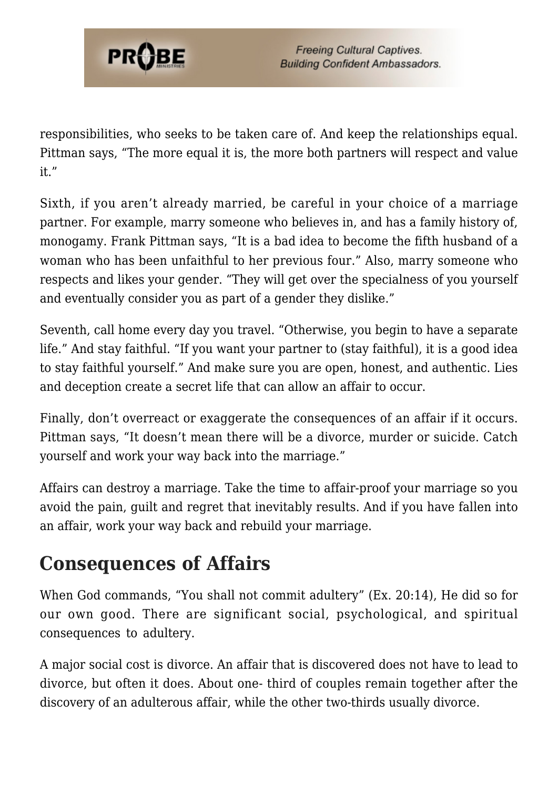

responsibilities, who seeks to be taken care of. And keep the relationships equal. Pittman says, "The more equal it is, the more both partners will respect and value it."

Sixth, if you aren't already married, be careful in your choice of a marriage partner. For example, marry someone who believes in, and has a family history of, monogamy. Frank Pittman says, "It is a bad idea to become the fifth husband of a woman who has been unfaithful to her previous four." Also, marry someone who respects and likes your gender. "They will get over the specialness of you yourself and eventually consider you as part of a gender they dislike."

Seventh, call home every day you travel. "Otherwise, you begin to have a separate life." And stay faithful. "If you want your partner to (stay faithful), it is a good idea to stay faithful yourself." And make sure you are open, honest, and authentic. Lies and deception create a secret life that can allow an affair to occur.

Finally, don't overreact or exaggerate the consequences of an affair if it occurs. Pittman says, "It doesn't mean there will be a divorce, murder or suicide. Catch yourself and work your way back into the marriage."

Affairs can destroy a marriage. Take the time to affair-proof your marriage so you avoid the pain, guilt and regret that inevitably results. And if you have fallen into an affair, work your way back and rebuild your marriage.

### **Consequences of Affairs**

When God commands, "You shall not commit adultery" (Ex. 20:14), He did so for our own good. There are significant social, psychological, and spiritual consequences to adultery.

A major social cost is divorce. An affair that is discovered does not have to lead to divorce, but often it does. About one- third of couples remain together after the discovery of an adulterous affair, while the other two-thirds usually divorce.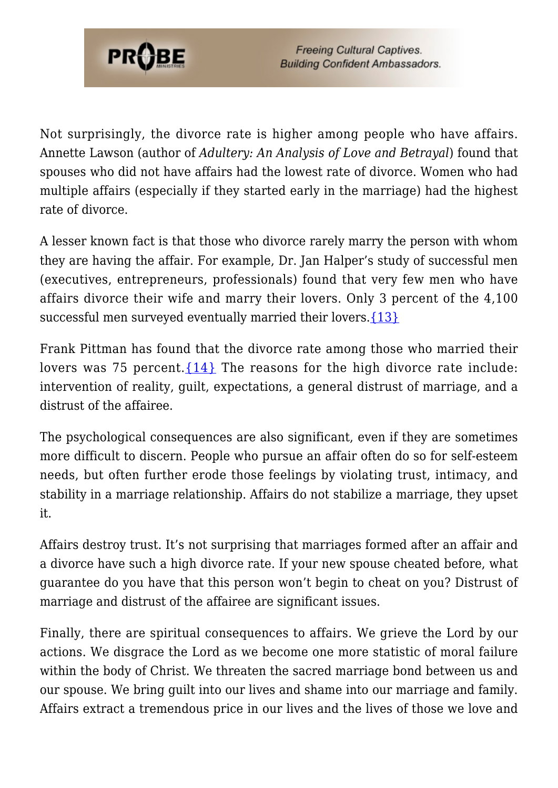

Not surprisingly, the divorce rate is higher among people who have affairs. Annette Lawson (author of *Adultery: An Analysis of Love and Betrayal*) found that spouses who did not have affairs had the lowest rate of divorce. Women who had multiple affairs (especially if they started early in the marriage) had the highest rate of divorce.

A lesser known fact is that those who divorce rarely marry the person with whom they are having the affair. For example, Dr. Jan Halper's study of successful men (executives, entrepreneurs, professionals) found that very few men who have affairs divorce their wife and marry their lovers. Only 3 percent of the 4,100 successful men surveyed eventually married their lovers.[{13}](#page-9-1)

Frank Pittman has found that the divorce rate among those who married their lovers was 75 percent.  $\{14\}$  The reasons for the high divorce rate include: intervention of reality, guilt, expectations, a general distrust of marriage, and a distrust of the affairee.

The psychological consequences are also significant, even if they are sometimes more difficult to discern. People who pursue an affair often do so for self-esteem needs, but often further erode those feelings by violating trust, intimacy, and stability in a marriage relationship. Affairs do not stabilize a marriage, they upset it.

Affairs destroy trust. It's not surprising that marriages formed after an affair and a divorce have such a high divorce rate. If your new spouse cheated before, what guarantee do you have that this person won't begin to cheat on you? Distrust of marriage and distrust of the affairee are significant issues.

Finally, there are spiritual consequences to affairs. We grieve the Lord by our actions. We disgrace the Lord as we become one more statistic of moral failure within the body of Christ. We threaten the sacred marriage bond between us and our spouse. We bring guilt into our lives and shame into our marriage and family. Affairs extract a tremendous price in our lives and the lives of those we love and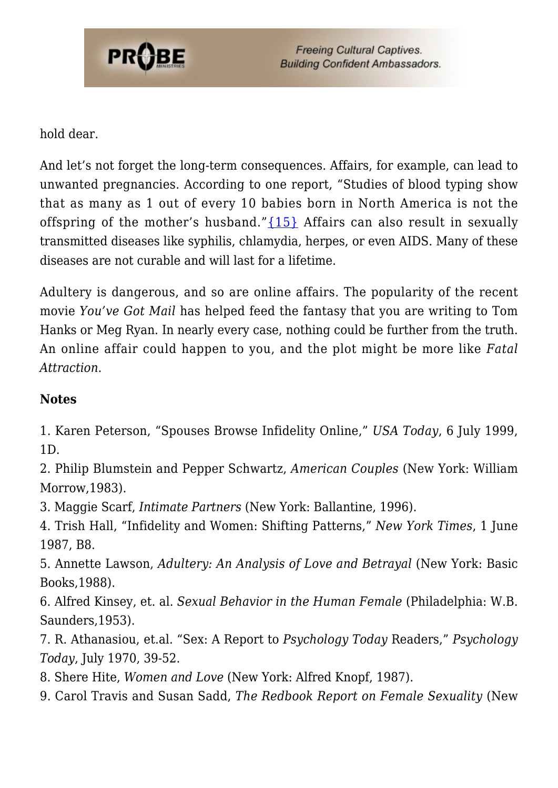

#### hold dear.

And let's not forget the long-term consequences. Affairs, for example, can lead to unwanted pregnancies. According to one report, "Studies of blood typing show that as many as 1 out of every 10 babies born in North America is not the offspring of the mother's husband." $\{15\}$  Affairs can also result in sexually transmitted diseases like syphilis, chlamydia, herpes, or even AIDS. Many of these diseases are not curable and will last for a lifetime.

Adultery is dangerous, and so are online affairs. The popularity of the recent movie *You've Got Mail* has helped feed the fantasy that you are writing to Tom Hanks or Meg Ryan. In nearly every case, nothing could be further from the truth. An online affair could happen to you, and the plot might be more like *Fatal Attraction*.

#### **Notes**

<span id="page-8-0"></span>1. Karen Peterson, "Spouses Browse Infidelity Online," *USA Today*, 6 July 1999, 1D.

2. Philip Blumstein and Pepper Schwartz, *American Couples* (New York: William Morrow,1983).

<span id="page-8-1"></span>3. Maggie Scarf, *Intimate Partners* (New York: Ballantine, 1996).

4. Trish Hall, "Infidelity and Women: Shifting Patterns," *New York Times*, 1 June 1987, B8.

5. Annette Lawson, *Adultery: An Analysis of Love and Betrayal* (New York: Basic Books,1988).

<span id="page-8-2"></span>6. Alfred Kinsey, et. al. *Sexual Behavior in the Human Female* (Philadelphia: W.B. Saunders,1953).

<span id="page-8-3"></span>7. R. Athanasiou, et.al. "Sex: A Report to *Psychology Today* Readers," *Psychology Today*, July 1970, 39-52.

<span id="page-8-4"></span>8. Shere Hite, *Women and Love* (New York: Alfred Knopf, 1987).

9. Carol Travis and Susan Sadd, *The Redbook Report on Female Sexuality* (New